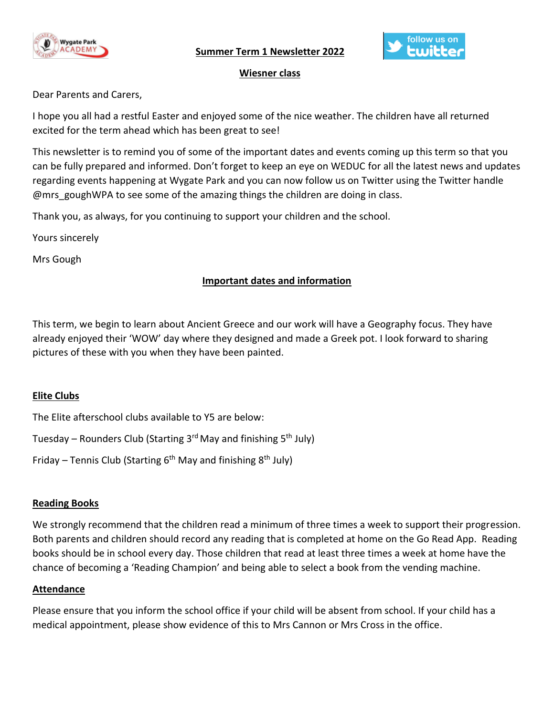

 **Summer Term 1 Newsletter 2022** 



### **Wiesner class**

Dear Parents and Carers,

I hope you all had a restful Easter and enjoyed some of the nice weather. The children have all returned excited for the term ahead which has been great to see!

This newsletter is to remind you of some of the important dates and events coming up this term so that you can be fully prepared and informed. Don't forget to keep an eye on WEDUC for all the latest news and updates regarding events happening at Wygate Park and you can now follow us on Twitter using the Twitter handle @mrs\_goughWPA to see some of the amazing things the children are doing in class.

Thank you, as always, for you continuing to support your children and the school.

Yours sincerely

Mrs Gough

# **Important dates and information**

This term, we begin to learn about Ancient Greece and our work will have a Geography focus. They have already enjoyed their 'WOW' day where they designed and made a Greek pot. I look forward to sharing pictures of these with you when they have been painted.

# **Elite Clubs**

The Elite afterschool clubs available to Y5 are below:

Tuesday – Rounders Club (Starting 3<sup>rd</sup> May and finishing 5<sup>th</sup> July)

Friday – Tennis Club (Starting 6<sup>th</sup> May and finishing 8<sup>th</sup> July)

# **Reading Books**

We strongly recommend that the children read a minimum of three times a week to support their progression. Both parents and children should record any reading that is completed at home on the Go Read App. Reading books should be in school every day. Those children that read at least three times a week at home have the chance of becoming a 'Reading Champion' and being able to select a book from the vending machine.

### **Attendance**

Please ensure that you inform the school office if your child will be absent from school. If your child has a medical appointment, please show evidence of this to Mrs Cannon or Mrs Cross in the office.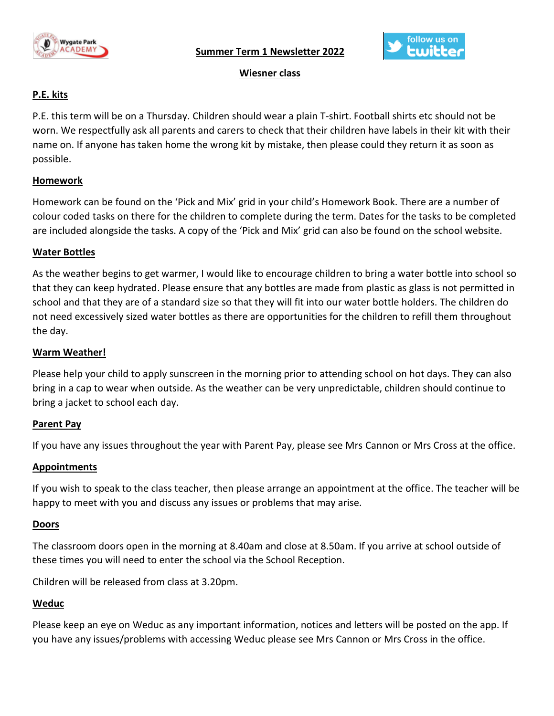

 **Summer Term 1 Newsletter 2022** 



# **Wiesner class**

# **P.E. kits**

P.E. this term will be on a Thursday. Children should wear a plain T-shirt. Football shirts etc should not be worn. We respectfully ask all parents and carers to check that their children have labels in their kit with their name on. If anyone has taken home the wrong kit by mistake, then please could they return it as soon as possible.

# **Homework**

Homework can be found on the 'Pick and Mix' grid in your child's Homework Book. There are a number of colour coded tasks on there for the children to complete during the term. Dates for the tasks to be completed are included alongside the tasks. A copy of the 'Pick and Mix' grid can also be found on the school website.

### **Water Bottles**

As the weather begins to get warmer, I would like to encourage children to bring a water bottle into school so that they can keep hydrated. Please ensure that any bottles are made from plastic as glass is not permitted in school and that they are of a standard size so that they will fit into our water bottle holders. The children do not need excessively sized water bottles as there are opportunities for the children to refill them throughout the day.

### **Warm Weather!**

Please help your child to apply sunscreen in the morning prior to attending school on hot days. They can also bring in a cap to wear when outside. As the weather can be very unpredictable, children should continue to bring a jacket to school each day.

### **Parent Pay**

If you have any issues throughout the year with Parent Pay, please see Mrs Cannon or Mrs Cross at the office.

### **Appointments**

If you wish to speak to the class teacher, then please arrange an appointment at the office. The teacher will be happy to meet with you and discuss any issues or problems that may arise.

### **Doors**

The classroom doors open in the morning at 8.40am and close at 8.50am. If you arrive at school outside of these times you will need to enter the school via the School Reception.

Children will be released from class at 3.20pm.

# **Weduc**

Please keep an eye on Weduc as any important information, notices and letters will be posted on the app. If you have any issues/problems with accessing Weduc please see Mrs Cannon or Mrs Cross in the office.